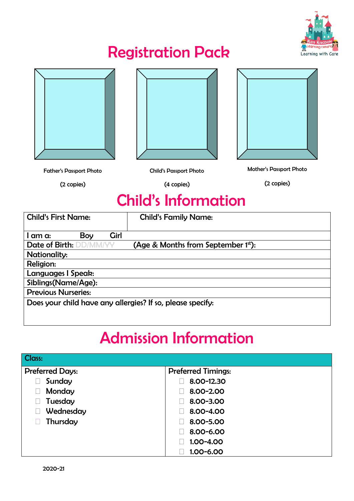

### Registration Pack







Father's Passport Photo

(2 copies)

Child's Passport Photo

(4 copies)

Mother's Passport Photo (2 copies)

### Child's Information

| <b>Child's First Name:</b> |             | <b>Child's Family Name:</b>                                |
|----------------------------|-------------|------------------------------------------------------------|
| Boy<br>am a:               | <b>Girl</b> |                                                            |
| Date of Birth: DD/MM/YY    |             | (Age & Months from September 1st):                         |
| Nationality:               |             |                                                            |
| Religion:                  |             |                                                            |
| Languages I Speak:         |             |                                                            |
| Siblings(Name/Age):        |             |                                                            |
| <b>Previous Nurseries:</b> |             |                                                            |
|                            |             | Does your child have any allergies? If so, please specify: |
|                            |             |                                                            |

## Admission Information

| <b>Class:</b>          |                           |  |
|------------------------|---------------------------|--|
| <b>Preferred Days:</b> | <b>Preferred Timings:</b> |  |
| Sunday                 | 8.00-12.30                |  |
| Monday                 | 8.00-2.00                 |  |
| Tuesday                | 8.00-3.00                 |  |
| Wednesday              | 8.00-4.00                 |  |
| Thursday               | 8.00-5.00                 |  |
|                        | 8.00-6.00                 |  |
|                        | 1.00-4.00                 |  |
|                        | 1.00-6.00                 |  |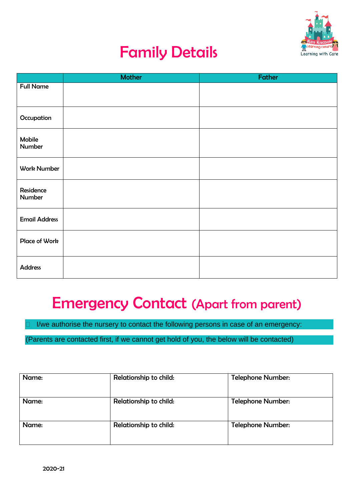

## Family Details

|                      | <b>Mother</b> | Father |
|----------------------|---------------|--------|
| <b>Full Name</b>     |               |        |
|                      |               |        |
|                      |               |        |
| Occupation           |               |        |
|                      |               |        |
| Mobile<br>Number     |               |        |
|                      |               |        |
| <b>Work Number</b>   |               |        |
|                      |               |        |
|                      |               |        |
| Residence<br>Number  |               |        |
|                      |               |        |
|                      |               |        |
| <b>Email Address</b> |               |        |
|                      |               |        |
| Place of Work        |               |        |
|                      |               |        |
| <b>Address</b>       |               |        |
|                      |               |        |

### Emergency Contact (Apart from parent)

I/we authorise the nursery to contact the following persons in case of an emergency:

(Parents are contacted first, if we cannot get hold of you, the below will be contacted)

| Name: | Relationship to child: | <b>Telephone Number:</b> |
|-------|------------------------|--------------------------|
| Name: | Relationship to child: | <b>Telephone Number:</b> |
| Name: | Relationship to child: | <b>Telephone Number:</b> |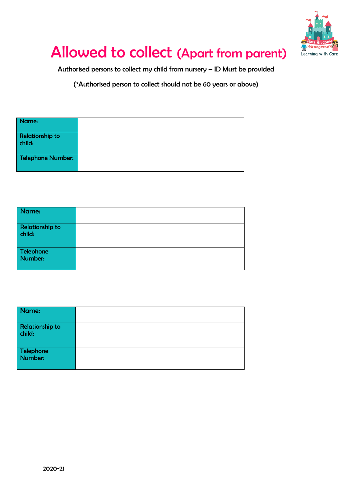

# Allowed to collect (Apart from parent)

Authorised persons to collect my child from nursery – ID Must be provided

(\*Authorised person to collect should not be 60 years or above)

| Name:                    |  |
|--------------------------|--|
|                          |  |
| <b>Relationship to</b>   |  |
| child:                   |  |
|                          |  |
| <b>Telephone Number:</b> |  |
|                          |  |
|                          |  |

| Name:                            |  |
|----------------------------------|--|
| <b>Relationship to</b><br>child: |  |
| Telephone<br>Number:             |  |

| Name:                            |  |
|----------------------------------|--|
| <b>Relationship to</b><br>child: |  |
| Telephone<br>Number:             |  |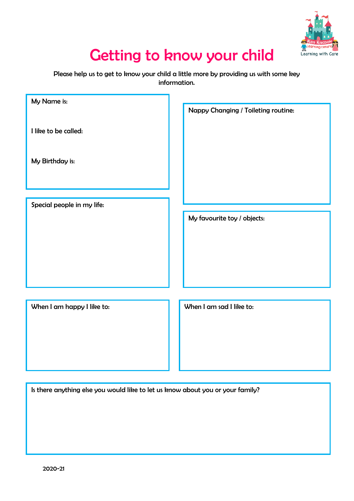

### Getting to know your child

Please help us to get to know your child a little more by providing us with some key information.

| My Name is:                | Nappy Changing / Toileting routine: |
|----------------------------|-------------------------------------|
| I like to be called:       |                                     |
| My Birthday is:            |                                     |
|                            |                                     |
| Special people in my life: |                                     |
|                            | My favourite toy / objects:         |
|                            |                                     |
|                            |                                     |
|                            |                                     |
|                            |                                     |
| When I am happy I like to: | When I am sad I like to:            |
|                            |                                     |
|                            |                                     |
|                            |                                     |

Is there anything else you would like to let us know about you or your family?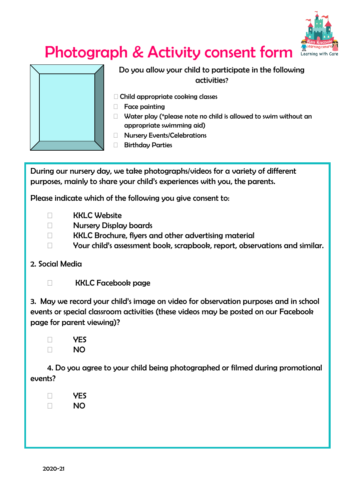

# Photograph & Activity consent form



Do you allow your child to participate in the following activities?

- Child appropriate cooking classes
- Face painting
- $\Box$  Water play (\*please note no child is allowed to swim without an appropriate swimming aid)
- **Nursery Events/Celebrations**
- □ Birthday Parties

During our nursery day, we take photographs/videos for a variety of different purposes, mainly to share your child's experiences with you, the parents.

Please indicate which of the following you give consent to:

- □ KKLC Website
- Nursery Display boards
- KKLC Brochure, flyers and other advertising material
- □ Your child's assessment book, scrapbook, report, observations and similar.

#### 2. Social Media

KKLC Facebook page

3. May we record your child's image on video for observation purposes and in school events or special classroom activities (these videos may be posted on our Facebook page for parent viewing)?

 YES **NO** 

4. Do you agree to your child being photographed or filmed during promotional events?

 YES n NO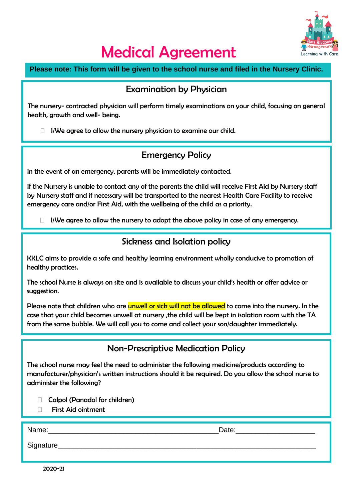

### Medical Agreement

**Please note: This form will be given to the school nurse and filed in the Nursery Clinic.**

#### Examination by Physician

The nursery- contracted physician will perform timely examinations on your child, focusing on general health, growth and well- being.

 $\Box$  I/We agree to allow the nursery physician to examine our child.

#### Emergency Policy

In the event of an emergency, parents will be immediately contacted.

If the Nursery is unable to contact any of the parents the child will receive First Aid by Nursery staff by Nursery staff and if necessary will be transported to the nearest Health Care Facility to receive emergency care and/or First Aid, with the wellbeing of the child as a priority.

 $\Box$  I/We agree to allow the nursery to adopt the above policy in case of any emergency.

#### Sickness and Isolation policy

KKLC aims to provide a safe and healthy learning environment wholly conducive to promotion of healthy practices.

The school Nurse is always on site and is available to discuss your child's health or offer advice or suggestion.

Please note that children who are **unwell or sick will not be allowed** to come into the nursery. In the case that your child becomes unwell at nursery ,the child will be kept in isolation room with the TA from the same bubble. We will call you to come and collect your son/daughter immediately.

#### Non-Prescriptive Medication Policy

The school nurse may feel the need to administer the following medicine/products according to manufacturer/physician's written instructions should it be required. Do you allow the school nurse to administer the following?

- □ Calpol (Panadol for children)
- First Aid ointment

Name:\_\_\_\_\_\_\_\_\_\_\_\_\_\_\_\_\_\_\_\_\_\_\_\_\_\_\_\_\_\_\_\_\_\_\_\_\_\_\_\_\_\_\_Date:\_\_\_\_\_\_\_\_\_\_\_\_\_\_\_\_\_\_\_\_

Signature

2020-21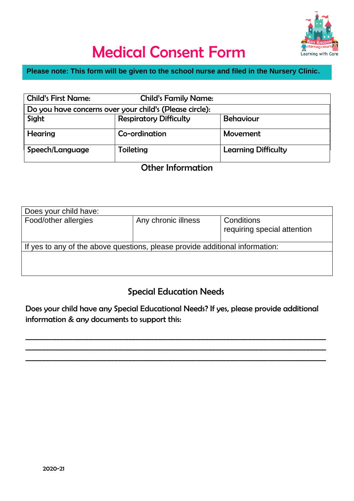

# Medical Consent Form

#### **Please note: This form will be given to the school nurse and filed in the Nursery Clinic.**

| <b>Child's First Name:</b> | <b>Child's Family Name:</b>                             |                            |
|----------------------------|---------------------------------------------------------|----------------------------|
|                            | Do you have concerns over your child's (Please circle): |                            |
| Sight                      | <b>Respiratory Difficulty</b>                           | <b>Behaviour</b>           |
| Hearing                    | Co-ordination                                           | Movement                   |
| Speech/Language            | Toileting                                               | <b>Learning Difficulty</b> |

### Other Information

| Does your child have:                                                        |                     |                                           |
|------------------------------------------------------------------------------|---------------------|-------------------------------------------|
| Food/other allergies                                                         | Any chronic illness | Conditions<br>requiring special attention |
| If yes to any of the above questions, please provide additional information: |                     |                                           |
|                                                                              |                     |                                           |

#### Special Education Needs

Does your child have any Special Educational Needs? If yes, please provide additional information & any documents to support this:

\_\_\_\_\_\_\_\_\_\_\_\_\_\_\_\_\_\_\_\_\_\_\_\_\_\_\_\_\_\_\_\_\_\_\_\_\_\_\_\_\_\_\_\_\_\_\_\_\_\_\_\_\_\_\_\_\_\_\_\_\_\_\_\_\_\_\_\_\_\_\_\_\_\_\_\_\_\_\_\_\_\_\_ \_\_\_\_\_\_\_\_\_\_\_\_\_\_\_\_\_\_\_\_\_\_\_\_\_\_\_\_\_\_\_\_\_\_\_\_\_\_\_\_\_\_\_\_\_\_\_\_\_\_\_\_\_\_\_\_\_\_\_\_\_\_\_\_\_\_\_\_\_\_\_\_\_\_\_\_\_\_\_\_\_\_\_ \_\_\_\_\_\_\_\_\_\_\_\_\_\_\_\_\_\_\_\_\_\_\_\_\_\_\_\_\_\_\_\_\_\_\_\_\_\_\_\_\_\_\_\_\_\_\_\_\_\_\_\_\_\_\_\_\_\_\_\_\_\_\_\_\_\_\_\_\_\_\_\_\_\_\_\_\_\_\_\_\_\_\_

Transp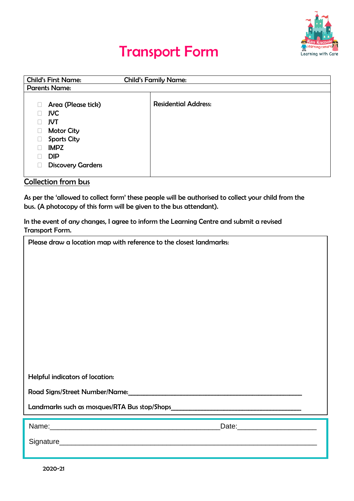

### Transport Form

| <b>Child's First Name:</b> | <b>Child's Family Name:</b> |
|----------------------------|-----------------------------|
| <b>Parents Name:</b>       |                             |
|                            |                             |
| Area (Please tick)         | <b>Residential Address:</b> |
| <b>JVC</b>                 |                             |
| <b>JVT</b>                 |                             |
| <b>Motor City</b>          |                             |
| <b>Sports City</b>         |                             |
| <b>IMPZ</b>                |                             |
| <b>DIP</b>                 |                             |
| <b>Discovery Gardens</b>   |                             |
|                            |                             |

#### Collection from bus

As per the 'allowed to collect form' these people will be authorised to collect your child from the bus. (A photocopy of this form will be given to the bus attendant).

In the event of any changes, I agree to inform the Learning Centre and submit a revised Transport Form.

| Please draw a location map with reference to the closest landmarks:                                            |  |
|----------------------------------------------------------------------------------------------------------------|--|
|                                                                                                                |  |
|                                                                                                                |  |
|                                                                                                                |  |
|                                                                                                                |  |
|                                                                                                                |  |
|                                                                                                                |  |
| Helpful indicators of location:                                                                                |  |
| Road Signs/Street Number/Name: Manual According to the Control of the Control of the Control of the Control of |  |
|                                                                                                                |  |
| Date: Date:                                                                                                    |  |
|                                                                                                                |  |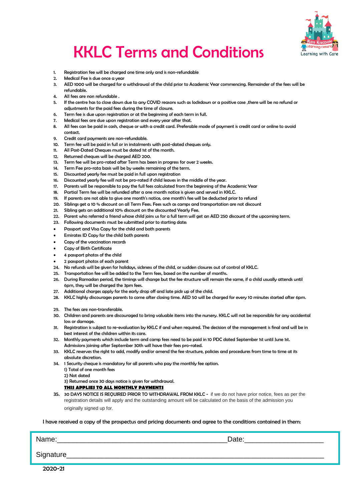

# KKLC Terms and Conditions

- 1. Registration fee will be charged one time only and is non-refundable
- 2. Medical Fee is due once a year
- 3. AED 1000 will be charged for a withdrawal of the child prior to Academic Year commencing. Remainder of the fees will be refundable.
- 4. All fees are non refundable .
- 5. If the centre has to close down due to any COVID reasons such as lockdown or a positive case ,there will be no refund or adjustments for the paid fees during the time of closure.
- 6. Term fee is due upon registration or at the beginning of each term in full.
- 7. Medical fees are due upon registration and every year after that.
- 8. All fees can be paid in cash, cheque or with a credit card. Preferable mode of payment is credit card or online to avoid contact.
- 9. Credit card payments are non-refundable.
- 10. Term fee will be paid in full or in instalments with post-dated cheques only.
- 11. All Post-Dated Cheques must be dated 1st of the month.
- 12. Returned cheques will be charged AED 200.
- 13. Term fee will be pro-rated after Term has been in progress for over 2 weeks.
- 14. Term Fee pro-rata basis will be by weeks remaining of the term.<br>15. Discounted yearly fee must be paid in full upon registration
- Discounted yearly fee must be paid in full upon registration
- 16. Discounted yearly fee will not be pro-rated if child leaves in the middle of the year.
- 17. Parents will be responsible to pay the full fees calculated from the beginning of the Academic Year
- 18. Partial Term fee will be refunded after a one month notice is given and served in KKLC.
- 19. If parents are not able to give one month's notice, one month's fee will be deducted prior to refund
- 20. Siblings get a 10 % discount on all Term Fees. Fees such as camps and transportation are not discount
- 21. Sibling gets an additional 10% discount on the discounted Yearly Fee.
- 22. Parent who referred a friend whose child joins us for a full term will get an AED 250 discount of the upcoming term.
- 23. Following documents must be submitted prior to starting date:
- Passport and Visa Copy for the child and both parents
- Emirates ID Copy for the child both parents
- Copy of the vaccination records
- Copy of Birth Certificate
- 4 passport photos of the child
- 2 passport photos of each parent
- 24. No refunds will be given for holidays, sickness of the child, or sudden closures out of control of KKLC.
- 25. Transportation fee will be added to the Term fees, based on the number of months.
- 26. During Ramadan period, the timings will change but the fee structure will remain the same, if a child usually attends until 6pm, they will be charged the 3pm fees.
- 27. Additional charges apply for the early drop off and late pick up of the child.
- 28. KKLC highly discourages parents to come after closing time. AED 50 will be charged for every 10 minutes started after 6pm.
- 29. The fees are non-transferable.
- 30. Children and parents are discouraged to bring valuable items into the nursery. KKLC will not be responsible for any accidental loss or damage.
- 31. Registration is subject to re-evaluation by KKLC if and when required. The decision of the management is final and will be in best interest of the children within its care.
- 32. Monthly payments which include term and camp fees need to be paid in 10 PDC dated September 1st until June 1st. Admissions joining after September 30th will have their fees pro-rated.
- 33. KKLC reserves the right to add, modify and/or amend the fee structure, policies and procedures from time to time at its absolute discretion.
- 34. 1 Security cheque is mandatory for all parents who pay the monthly fee option.
	- 1) Total of one month fees
	- 2) Not dated

3) Returned once 30 days notice is given for withdrawal.

**THIS APPLIES TO ALL MONTHLY PAYMENTS**

35. 30 DAYS NOTICE IS REQUIRED PRIOR TO WITHDRAWAL FROM KKLC - if we do not have prior notice, fees as per the registration details will apply and the outstanding amount will be calculated on the basis of the admission you originally signed up for.

#### I have received a copy of the prospectus and pricing documents and agree to the conditions contained in them:

Name:\_\_\_\_\_\_\_\_\_\_\_\_\_\_\_\_\_\_\_\_\_\_\_\_\_\_\_\_\_\_\_\_\_\_\_\_\_\_\_\_\_\_\_Date:\_\_\_\_\_\_\_\_\_\_\_\_\_\_\_\_\_\_\_\_ Signature\_\_\_\_\_\_\_\_\_\_\_\_\_\_\_\_\_\_\_\_\_\_\_\_\_\_\_\_\_\_\_\_\_\_\_\_\_\_\_\_\_\_\_\_\_\_\_\_\_\_\_\_\_\_\_\_\_\_\_\_\_\_\_\_\_

2020-21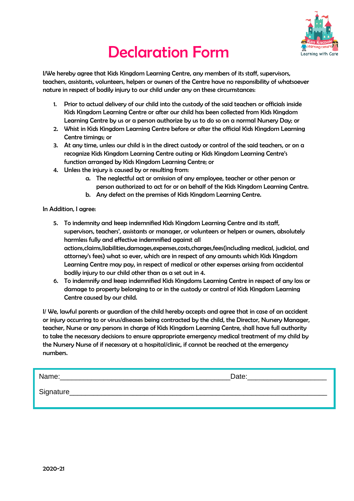

# Declaration Form

I/We hereby agree that Kids Kingdom Learning Centre, any members of its staff, supervisors, teachers, assistants, volunteers, helpers or owners of the Centre have no responsibility of whatsoever nature in respect of bodily injury to our child under any on these circumstances:

- 1. Prior to actual delivery of our child into the custody of the said teachers or officials inside Kids Kingdom Learning Centre or after our child has been collected from Kids Kingdom Learning Centre by us or a person authorize by us to do so on a normal Nursery Day; or
- 2. Whist in Kids Kingdom Learning Centre before or after the official Kids Kingdom Learning Centre timings; or
- 3. At any time, unless our child is in the direct custody or control of the said teachers, or on a recognize Kids Kingdom Learning Centre outing or Kids Kingdom Learning Centre's function arranged by Kids Kingdom Learning Centre; or
- 4. Unless the injury is caused by or resulting from:
	- a. The neglectful act or omission of any employee, teacher or other person or person authorized to act for or on behalf of the Kids Kingdom Learning Centre.
	- b. Any defect on the premises of Kids Kingdom Learning Centre.

In Addition, I agree:

- 5. To indemnity and keep indemnified Kids Kingdom Learning Centre and its staff, supervisors, teachers', assistants or manager, or volunteers or helpers or owners, absolutely harmless fully and effective indemnified against all actions,claims,liabilities,damages,expenses,costs,charges,fees(including medical, judicial, and attorney's fees) what so ever, which are in respect of any amounts which Kids Kingdom Learning Centre may pay, in respect of medical or other expenses arising from accidental bodily injury to our child other than as a set out in 4.
- 6. To indemnify and keep indemnified Kids Kingdoms Learning Centre in respect of any loss or damage to property belonging to or in the custody or control of Kids Kingdom Learning Centre caused by our child.

I/ We, lawful parents or guardian of the child hereby accepts and agree that in case of an accident or injury occurring to or virus/diseases being contracted by the child, the Director, Nursery Manager, teacher, Nurse or any persons in charge of Kids Kingdom Learning Centre, shall have full authority to take the necessary decisions to ensure appropriate emergency medical treatment of my child by the Nursery Nurse of if necessary at a hospital/clinic, if cannot be reached at the emergency numbers.

| nm ص<br>_____ |  |
|---------------|--|
|               |  |

Signature\_\_\_\_\_\_\_\_\_\_\_\_\_\_\_\_\_\_\_\_\_\_\_\_\_\_\_\_\_\_\_\_\_\_\_\_\_\_\_\_\_\_\_\_\_\_\_\_\_\_\_\_\_\_\_\_\_\_\_\_\_\_\_\_\_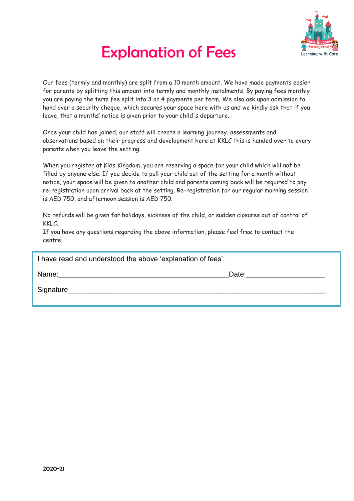

# Explanation of Fees

Our fees (termly and monthly) are split from a 10 month amount. We have made payments easier for parents by splitting this amount into termly and monthly instalments. By paying fees monthly you are paying the term fee split into 3 or 4 payments per term. We also ask upon admission to hand over a security cheque, which secures your space here with us and we kindly ask that if you leave, that a months' notice is given prior to your child's departure.

Once your child has joined, our staff will create a learning journey, assessments and observations based on their progress and development here at KKLC this is handed over to every parents when you leave the setting.

When you register at Kids Kingdom, you are reserving a space for your child which will not be filled by anyone else. If you decide to pull your child out of the setting for a month without notice, your space will be given to another child and parents coming back will be required to pay re-registration upon arrival back at the setting. Re-registration for our regular morning session is AED 750, and afternoon session is AED 750.

No refunds will be given for holidays, sickness of the child, or sudden closures out of control of KKLC.

If you have any questions regarding the above information, please feel free to contact the centre.

| I have read and understood the above 'explanation of fees':                                                                                                                                                                    |       |
|--------------------------------------------------------------------------------------------------------------------------------------------------------------------------------------------------------------------------------|-------|
| Name: when the contract of the contract of the contract of the contract of the contract of the contract of the contract of the contract of the contract of the contract of the contract of the contract of the contract of the | Date: |
| Signature_                                                                                                                                                                                                                     |       |